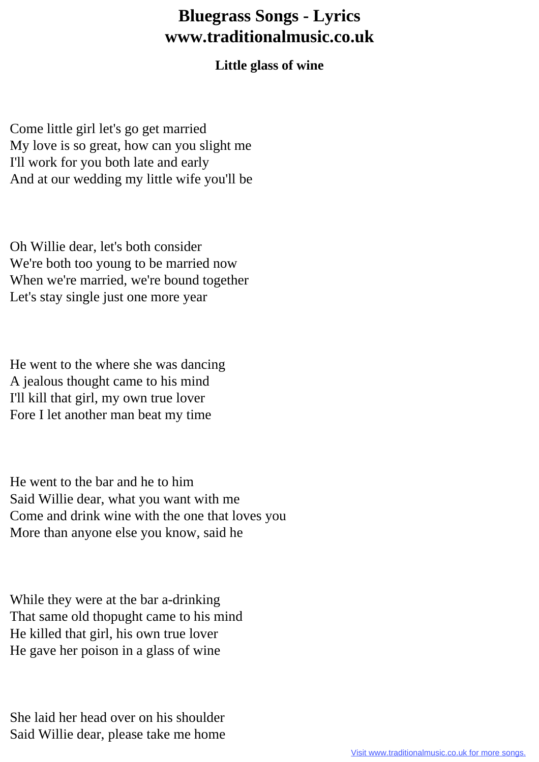## **Bluegrass Songs - Lyrics www.traditionalmusic.co.uk**

## **Little glass of wine**

Come little girl let's go get married My love is so great, how can you slight me I'll work for you both late and early And at our wedding my little wife you'll be

Oh Willie dear, let's both consider We're both too young to be married now When we're married, we're bound together Let's stay single just one more year

He went to the where she was dancing A jealous thought came to his mind I'll kill that girl, my own true lover Fore I let another man beat my time

He went to the bar and he to him Said Willie dear, what you want with me Come and drink wine with the one that loves you More than anyone else you know, said he

While they were at the bar a-drinking That same old thopught came to his mind He killed that girl, his own true lover He gave her poison in a glass of wine

She laid her head over on his shoulder Said Willie dear, please take me home